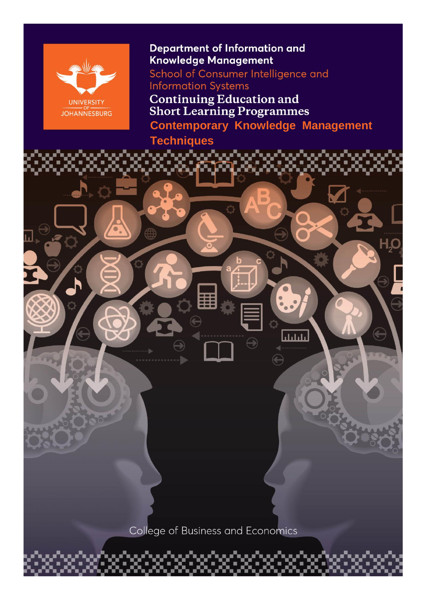

### **Department of Information and Knowledge Management**

School of Consumer Intelligence and **Information Systems** 

**Continuing Education and<br>Short Learning Programmes** 

**Contemporary Knowledge Management** 

بليليان

## **Techniques**

College of Business and Economics